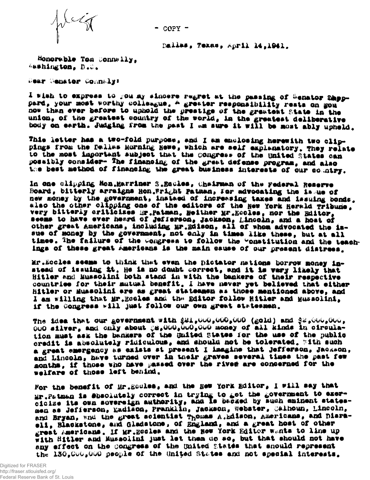

 $-$  COPY  $-$ 

Dalles, Texas, April 14,1941.

Honorable Tom Connelly, Asshington, D.C.

Hear Henster Comnaly:

I wish to express to you my sincere regret at the passing of Senator Sheppard, your most worthy colleague, A greater responsibility rests on gou now than ever before to uphold the prestige of the greatest State in the union, of the greatest country of the world, in the greatest deliberative body on earth. Judging from the past I am sure it will be most ably upheld.

This letter has a two-fold purpose, and I am enclosing herewith two clippings from the Dallas Morning Hewe, which are self explanatory, They relate to the most important subject that the congress of the United States can posaibly consider- The financing of the grast defense program, and also the best method of financing the great business interests of our country.

In one clipping Mon.Marriner S.Equles, Chairman of the Federal Reserve Board, bitterly arraigns Hon. Fright Patman, for advocating the issue of new money by the government, instaed of increasing taxes and issuing bonds. very bitterly criticizes Mr. Patman. Heither Mr. Eccles, nor the Editor. seems to have ever heard of Jefferson, Jackson, Lincoln, and a host of other great Americans, including Mr.Edison, all of whom advocated the issue of money by the government, not only in times like these, but at all times. The failure of the Congress to follow the Constitution and the teachings of these great Americans is the main cause of our present distrees.

Mr. Booles seems to think that even the pictator nations borrow money instead of issuing it. He is no doubt correct, and it is wary likely that Hitler and Mussolini both stand in with the bankers of their respective countries for their mutual benefit. I have never yet believed that either Hitler or Eussolini are as great statemmen as those mentioned above, and I am willing that Mr. Essles and the Editor follow Hitler and Mussolini, if the Congress will just follow our own great statesmen.

The idea that our government with  $\ell\ell\ell_0\cup\mathbb{Q}_p\cup\mathbb{Q}_p\cup\mathbb{Q}$  (gold) and  $\ell\ell_0\cup\mathbb{Q}_p\cup\mathbb{Q}_p$ 000 silver, and only about 88,000,000,000 money of all kinds in circulation must ask the bankers of the Buited States for the use of the public credit is absolutely ridiculous, and should not be tolerated. With such a great emergency as exists st present I imagine that Jefferson, Jackson, and Lincoln, have turned over in their graves several times the past few months, if those who have passed over the rived are concerned for the welfare of those left behind.

For the benefit of Mr. Socles, and the New York Editor, I will say that Mr.Patman is Shaolutely correct in trying to get the government to exer-<br>cicize its own sovereign authority, and is backed by such eminent statesmen as Jefferson, Eadiaca, Pranklin, Jackson, Webster, Calhoun, Lincoln, and Bryan, and the great scientist Thomas A.Edison, Americans, and Diaraeli, Blackstone, and Gladstone, of England, and a great host of other great Americans. If Mr. Booles and the New York Editor wants to line up with Hitler and Mussolini just let them do so, but that should not have any effect on the congress of the United States that should represent the 130,000,000 people of the United States and not special interests.